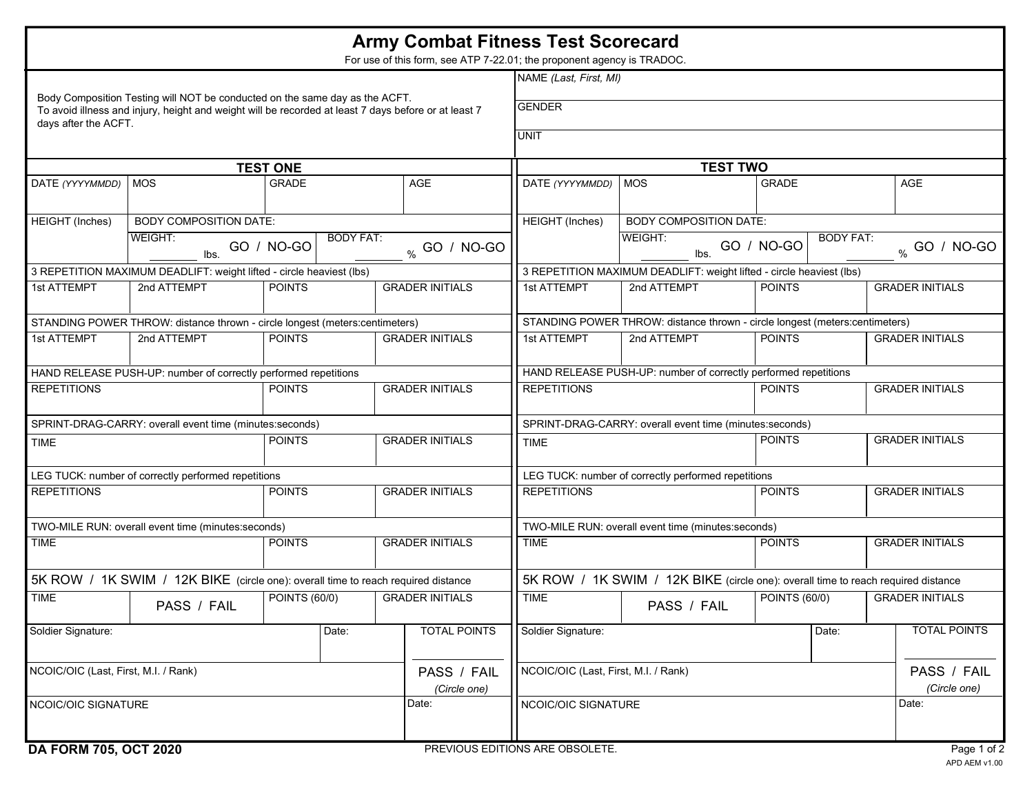|                                              |                                                                                   |                                      | <b>Army Combat Fitness Test Scorecard</b><br>For use of this form, see ATP 7-22.01; the proponent agency is TRADOC. |                                                                             |                                                                                   |                      |                  |                        |  |  |  |
|----------------------------------------------|-----------------------------------------------------------------------------------|--------------------------------------|---------------------------------------------------------------------------------------------------------------------|-----------------------------------------------------------------------------|-----------------------------------------------------------------------------------|----------------------|------------------|------------------------|--|--|--|
|                                              |                                                                                   |                                      |                                                                                                                     | NAME (Last, First, MI)                                                      |                                                                                   |                      |                  |                        |  |  |  |
|                                              | Body Composition Testing will NOT be conducted on the same day as the ACFT.       |                                      | To avoid illness and injury, height and weight will be recorded at least 7 days before or at least 7                | GENDER                                                                      |                                                                                   |                      |                  |                        |  |  |  |
| days after the ACFT.                         |                                                                                   |                                      |                                                                                                                     | <b>UNIT</b>                                                                 |                                                                                   |                      |                  |                        |  |  |  |
|                                              |                                                                                   |                                      |                                                                                                                     |                                                                             |                                                                                   |                      |                  |                        |  |  |  |
|                                              |                                                                                   | <b>TEST ONE</b>                      |                                                                                                                     | <b>TEST TWO</b><br><b>AGE</b>                                               |                                                                                   |                      |                  |                        |  |  |  |
| DATE (YYYYMMDD)                              | l MOS                                                                             | GRADE                                | <b>AGE</b>                                                                                                          | DATE (YYYYMMDD)                                                             | <b>GRADE</b><br><b>MOS</b>                                                        |                      |                  |                        |  |  |  |
| <b>HEIGHT</b> (Inches)                       | <b>BODY COMPOSITION DATE:</b>                                                     |                                      |                                                                                                                     | HEIGHT (Inches)                                                             | <b>BODY COMPOSITION DATE:</b>                                                     |                      |                  |                        |  |  |  |
|                                              | <b>WEIGHT:</b><br>lbs.                                                            | GO / NO-GO                           | <b>BODY FAT:</b><br>$_{\%}$ GO / NO-GO                                                                              |                                                                             | <b>WEIGHT:</b><br>lbs.                                                            | GO / NO-GO           | <b>BODY FAT:</b> | % GO / NO-GO           |  |  |  |
|                                              | 3 REPETITION MAXIMUM DEADLIFT: weight lifted - circle heaviest (lbs)              |                                      |                                                                                                                     | 3 REPETITION MAXIMUM DEADLIFT: weight lifted - circle heaviest (lbs)        |                                                                                   |                      |                  |                        |  |  |  |
| 1st ATTEMPT                                  | 2nd ATTEMPT                                                                       | <b>POINTS</b>                        | <b>GRADER INITIALS</b>                                                                                              | 1st ATTEMPT                                                                 | 2nd ATTEMPT                                                                       | <b>POINTS</b>        |                  | <b>GRADER INITIALS</b> |  |  |  |
|                                              | STANDING POWER THROW: distance thrown - circle longest (meters:centimeters)       |                                      |                                                                                                                     | STANDING POWER THROW: distance thrown - circle longest (meters:centimeters) |                                                                                   |                      |                  |                        |  |  |  |
| 1st ATTEMPT                                  | <b>POINTS</b><br>2nd ATTEMPT                                                      |                                      | <b>GRADER INITIALS</b>                                                                                              | 1st ATTEMPT                                                                 | 2nd ATTEMPT                                                                       | <b>POINTS</b>        |                  | <b>GRADER INITIALS</b> |  |  |  |
|                                              | HAND RELEASE PUSH-UP: number of correctly performed repetitions                   |                                      |                                                                                                                     | HAND RELEASE PUSH-UP: number of correctly performed repetitions             |                                                                                   |                      |                  |                        |  |  |  |
| <b>REPETITIONS</b>                           |                                                                                   | <b>POINTS</b>                        | <b>GRADER INITIALS</b>                                                                                              | <b>REPETITIONS</b>                                                          |                                                                                   | <b>POINTS</b>        |                  | <b>GRADER INITIALS</b> |  |  |  |
|                                              | SPRINT-DRAG-CARRY: overall event time (minutes:seconds)                           |                                      |                                                                                                                     | SPRINT-DRAG-CARRY: overall event time (minutes:seconds)                     |                                                                                   |                      |                  |                        |  |  |  |
| <b>TIME</b>                                  |                                                                                   | <b>POINTS</b>                        | <b>GRADER INITIALS</b>                                                                                              | <b>TIME</b>                                                                 |                                                                                   | <b>POINTS</b>        |                  | <b>GRADER INITIALS</b> |  |  |  |
|                                              | LEG TUCK: number of correctly performed repetitions                               |                                      |                                                                                                                     | LEG TUCK: number of correctly performed repetitions                         |                                                                                   |                      |                  |                        |  |  |  |
| <b>REPETITIONS</b>                           |                                                                                   | <b>POINTS</b>                        | <b>GRADER INITIALS</b>                                                                                              | <b>REPETITIONS</b>                                                          |                                                                                   | <b>POINTS</b>        |                  | <b>GRADER INITIALS</b> |  |  |  |
|                                              | TWO-MILE RUN: overall event time (minutes:seconds)                                |                                      |                                                                                                                     |                                                                             | TWO-MILE RUN: overall event time (minutes:seconds)                                |                      |                  |                        |  |  |  |
| <b>TIME</b>                                  |                                                                                   | <b>POINTS</b>                        | <b>GRADER INITIALS</b>                                                                                              | <b>TIME</b>                                                                 |                                                                                   | <b>POINTS</b>        |                  | <b>GRADER INITIALS</b> |  |  |  |
|                                              | 5K ROW / 1K SWIM / 12K BIKE (circle one): overall time to reach required distance |                                      |                                                                                                                     |                                                                             | 5K ROW / 1K SWIM / 12K BIKE (circle one): overall time to reach required distance |                      |                  |                        |  |  |  |
| <b>TIME</b>                                  | PASS / FAIL                                                                       | <b>POINTS (60/0)</b>                 | <b>GRADER INITIALS</b>                                                                                              | <b>TIME</b>                                                                 | PASS / FAIL                                                                       | <b>POINTS (60/0)</b> |                  | <b>GRADER INITIALS</b> |  |  |  |
| Soldier Signature:                           |                                                                                   | Date:                                | <b>TOTAL POINTS</b>                                                                                                 | Soldier Signature:                                                          |                                                                                   |                      | Date:            | TOTAL POINTS           |  |  |  |
| NCOIC/OIC (Last, First, M.I. / Rank)         |                                                                                   | NCOIC/OIC (Last, First, M.I. / Rank) | PASS / FAIL<br>(Circle one)                                                                                         |                                                                             |                                                                                   |                      |                  |                        |  |  |  |
| (Circle one)<br>Date:<br>NCOIC/OIC SIGNATURE |                                                                                   |                                      |                                                                                                                     | NCOIC/OIC SIGNATURE                                                         | Date:                                                                             |                      |                  |                        |  |  |  |
| DA FORM 705, OCT 2020                        |                                                                                   |                                      |                                                                                                                     | PREVIOUS EDITIONS ARE OBSOLETE.                                             |                                                                                   |                      |                  | Page 1 of 2            |  |  |  |